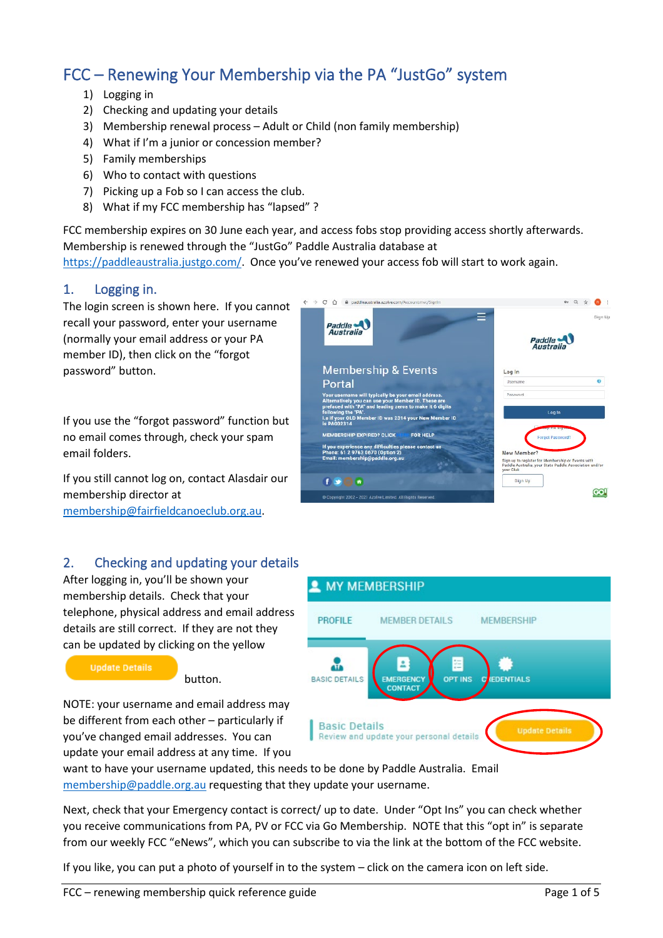# FCC – Renewing Your Membership via the PA "JustGo" system

- 1) Logging in
- 2) Checking and updating your details
- 3) Membership renewal process Adult or Child (non family membership)
- 4) What if I'm a junior or concession member?
- 5) Family memberships
- 6) Who to contact with questions
- 7) Picking up a Fob so I can access the club.
- 8) What if my FCC membership has "lapsed" ?

FCC membership expires on 30 June each year, and access fobs stop providing access shortly afterwards. Membership is renewed through the "JustGo" Paddle Australia database at [https://paddleaustralia.justgo.com/.](https://paddleaustralia.justgo.com/) Once you've renewed your access fob will start to work again.

### 1. Logging in.

The login screen is shown here. If you cannot recall your password, enter your username (normally your email address or your PA member ID), then click on the "forgot password" button.

If you use the "forgot password" function but no email comes through, check your spam email folders.

If you still cannot log on, contact Alasdair our membership director at [membership@fairfieldcanoeclub.org.au.](mailto:membership@fairfieldcanoeclub.org.au?subject=Forgot%20password%20for%20Go%20Membership%20database)

### 2. Checking and updating your details

After logging in, you'll be shown your membership details. Check that your telephone, physical address and email address details are still correct. If they are not they can be updated by clicking on the yellow

**Update Details** 

button.

NOTE: your username and email address may be different from each other – particularly if you've changed email addresses. You can update your email address at any time. If you





want to have your username updated, this needs to be done by Paddle Australia. Email [membership@paddle.org.au](mailto:membership@paddle.org.au) requesting that they update your username.

Next, check that your Emergency contact is correct/ up to date. Under "Opt Ins" you can check whether you receive communications from PA, PV or FCC via Go Membership. NOTE that this "opt in" is separate from our weekly FCC "eNews", which you can subscribe to via the link at the bottom of the FCC website.

If you like, you can put a photo of yourself in to the system – click on the camera icon on left side.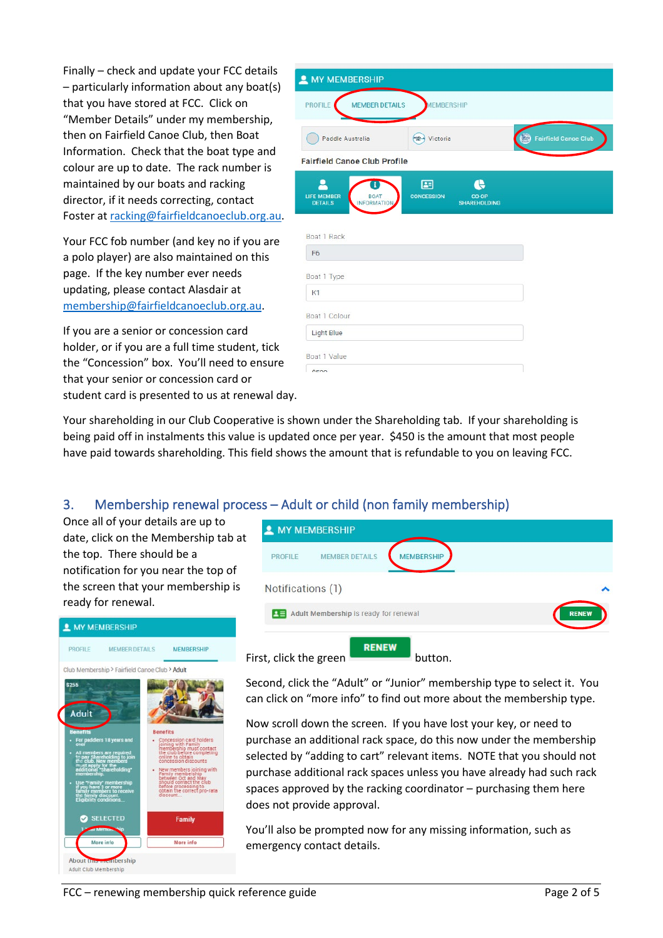Finally – check and update your FCC details – particularly information about any boat(s) that you have stored at FCC. Click on "Member Details" under my membership, then on Fairfield Canoe Club, then Boat Information. Check that the boat type and colour are up to date. The rack number is maintained by our boats and racking director, if it needs correcting, contact Foster at [racking@fairfieldcanoeclub.org.au.](mailto:racking@fairfieldcanoeclub.org.au)

Your FCC fob number (and key no if you are a polo player) are also maintained on this page. If the key number ever needs updating, please contact Alasdair at [membership@fairfieldcanoeclub.org.au.](mailto:membership@fairfieldcanoeclub.org.au)

If you are a senior or concession card holder, or if you are a full time student, tick the "Concession" box. You'll need to ensure that your senior or concession card or student card is presented to us at renewal day.

| <b>2</b> MY MEMBERSHIP                                                         |                                                        |                             |
|--------------------------------------------------------------------------------|--------------------------------------------------------|-----------------------------|
| <b>MEMBER DETAILS</b><br><b>PROFILE</b>                                        | <b>MEMBERSHIP</b>                                      |                             |
| Paddle Australia                                                               | <b>FIRM</b><br>Victoria                                | <b>Fairfield Canoe Club</b> |
| <b>Fairfield Canoe Club Profile</b>                                            |                                                        |                             |
| ٠<br><b>LIFE MEMBER</b><br><b>BOAT</b><br><b>DETAILS</b><br><b>INFORMATION</b> | 團<br><b>CONCESSION</b><br>CO-OP<br><b>SHAREHOLDING</b> |                             |
| Boat 1 Rack                                                                    |                                                        |                             |
| F <sub>6</sub>                                                                 |                                                        |                             |
| Boat 1 Type                                                                    |                                                        |                             |
| K1                                                                             |                                                        |                             |
| Boat 1 Colour                                                                  |                                                        |                             |
| <b>Light Blue</b>                                                              |                                                        |                             |
| Boat 1 Value                                                                   |                                                        |                             |
| <b>CEOD</b>                                                                    |                                                        |                             |

Your shareholding in our Club Cooperative is shown under the Shareholding tab. If your shareholding is being paid off in instalments this value is updated once per year. \$450 is the amount that most people have paid towards shareholding. This field shows the amount that is refundable to you on leaving FCC.

## 3. Membership renewal process – Adult or child (non family membership)

Once all of your details are up to date, click on the Membership tab at the top. There should be a notification for you near the top of the screen that your membership is ready for renewal.





Second, click the "Adult" or "Junior" membership type to select it. You can click on "more info" to find out more about the membership type.

Now scroll down the screen. If you have lost your key, or need to purchase an additional rack space, do this now under the membership selected by "adding to cart" relevant items. NOTE that you should not purchase additional rack spaces unless you have already had such rack spaces approved by the racking coordinator – purchasing them here does not provide approval.

You'll also be prompted now for any missing information, such as emergency contact details.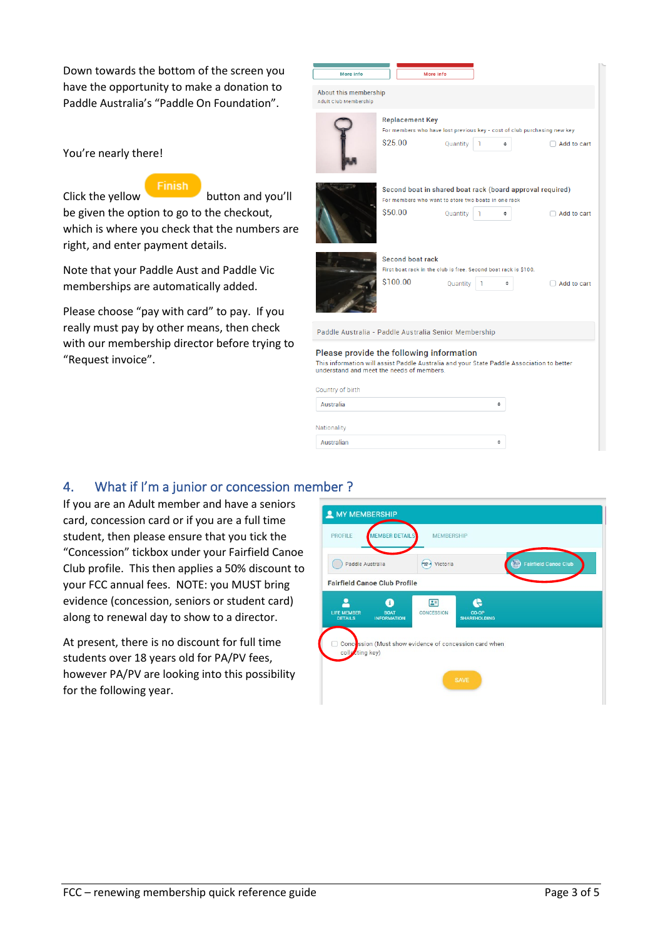Down towards the bottom of the screen you have the opportunity to make a donation to Paddle Australia's "Paddle On Foundation".

You're nearly there!



Click the yellow button and you'll be given the option to go to the checkout, which is where you check that the numbers are right, and enter payment details.

Note that your Paddle Aust and Paddle Vic memberships are automatically added.

Please choose "pay with card" to pay. If you really must pay by other means, then check with our membership director before trying to "Request invoice".



### 4. What if I'm a junior or concession member ?

Australian

If you are an Adult member and have a seniors card, concession card or if you are a full time student, then please ensure that you tick the "Concession" tickbox under your Fairfield Canoe Club profile. This then applies a 50% discount to your FCC annual fees. NOTE: you MUST bring evidence (concession, seniors or student card) along to renewal day to show to a director.

At present, there is no discount for full time students over 18 years old for PA/PV fees, however PA/PV are looking into this possibility for the following year.

| Paddle Australia                     |                                        | $-1$<br>Victoria          |                                                        | <b>Fairfield Canoe Club</b><br><b>E</b> |
|--------------------------------------|----------------------------------------|---------------------------|--------------------------------------------------------|-----------------------------------------|
|                                      | <b>Fairfield Canoe Club Profile</b>    |                           |                                                        |                                         |
| <b>LIFE MEMBER</b><br><b>DETAILS</b> | A<br><b>BOAT</b><br><b>INFORMATION</b> | $\boxed{2}$<br>CONCESSION | CO-OP<br><b>SHAREHOLDING</b>                           |                                         |
| collecting key)                      |                                        |                           | Concession (Must show evidence of concession card when |                                         |

 $\ddot{\phantom{a}}$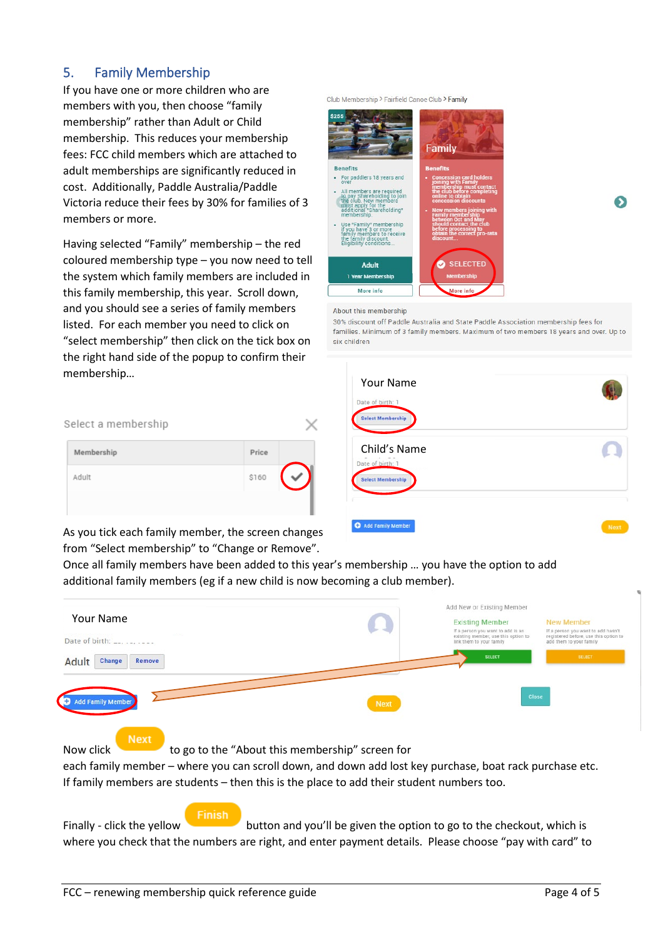### 5. Family Membership

Select

Memb

Adult

If you have one or more children who are members with you, then choose "family membership" rather than Adult or Child membership. This reduces your membership fees: FCC child members which are attached to adult memberships are significantly reduced in cost. Additionally, Paddle Australia/Paddle Victoria reduce their fees by 30% for families of 3 members or more.

Having selected "Family" membership – the red coloured membership type – you now need to tell the system which family members are included in this family membership, this year. Scroll down, and you should see a series of family members listed. For each member you need to click on "select membership" then click on the tick box on the right hand side of the popup to confirm their memb

| \$255                                                                                                                                                                                                                                                                                                                      | Family                                                                                                                                                                                                                                                                                                                                |
|----------------------------------------------------------------------------------------------------------------------------------------------------------------------------------------------------------------------------------------------------------------------------------------------------------------------------|---------------------------------------------------------------------------------------------------------------------------------------------------------------------------------------------------------------------------------------------------------------------------------------------------------------------------------------|
| <b>Benefits</b>                                                                                                                                                                                                                                                                                                            | <b>Benefits</b>                                                                                                                                                                                                                                                                                                                       |
| For paddlers 18 years and<br>over<br>All members are required<br>to pay Shareholding to join<br>the club. New members<br>must apply for the<br>additional "Shareholding"<br>membership.<br>Use "Family" membership<br>if you have 3 or more<br>family members to receive<br>the family discount.<br>Eligibility conditions | <b>Concession card holders</b><br>joining with Family<br>membership must contact<br>the club before completing<br>online to obtain<br>concession discounts<br>New members joining with<br>Family membership<br>between Oct and May<br>٠<br>should contact the club<br>before processing to<br>obtain the correct pro-rata<br>discount |
| <b>Adult</b><br>1 Year Membership                                                                                                                                                                                                                                                                                          | <b>SELECTED</b><br><b>Membership</b>                                                                                                                                                                                                                                                                                                  |
| More info                                                                                                                                                                                                                                                                                                                  | More info                                                                                                                                                                                                                                                                                                                             |

Club Membership > Fairfield Canoe Club > Family

#### About this membership

30% discount off Paddle Australia and State Paddle Association membership fees for families. Minimum of 3 family members. Maximum of two members 18 years and over. Up to six children

ல

| ership<br>a membership                     | $\times$       | Your Name<br>Date of birth: 1<br><b>Select Membership</b> |      |
|--------------------------------------------|----------------|-----------------------------------------------------------|------|
| ership                                     | Price<br>\$160 | Child's Name<br>Date of birth: 1                          |      |
|                                            |                | <b>Select Membership</b><br>Add Family Member             |      |
| tick each family member the screen changes |                |                                                           | Next |

As you tick each family member, the screen changes from "Select membership" to "Change or Remove".

Once all family members have been added to this year's membership … you have the option to add additional family members (eg if a new child is now becoming a club member).



each family member – where you can scroll down, and down add lost key purchase, boat rack purchase etc. If family members are students – then this is the place to add their student numbers too.

### Finish

Finally - click the yellow button and you'll be given the option to go to the checkout, which is where you check that the numbers are right, and enter payment details. Please choose "pay with card" to